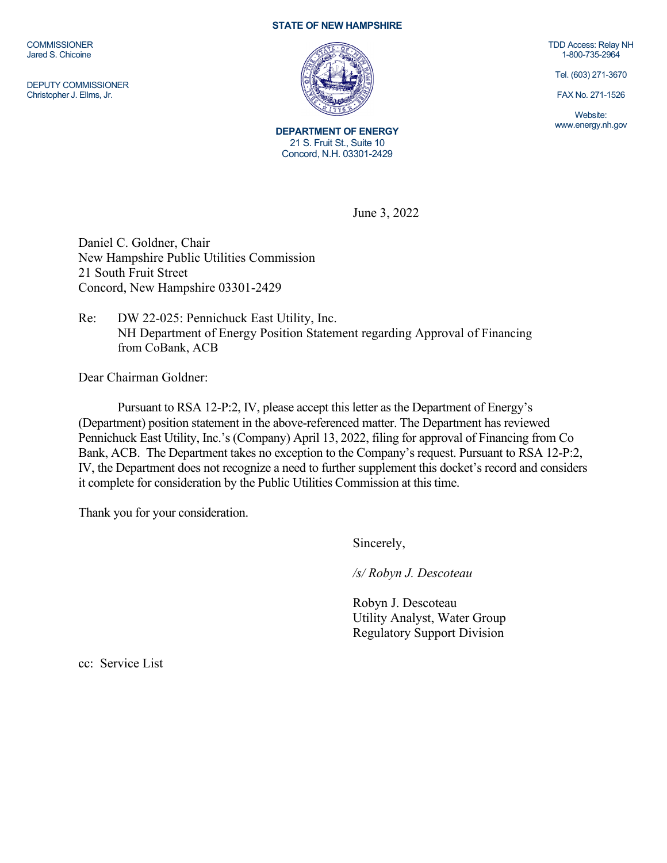**COMMISSIONER** Jared S. Chicoine

DEPUTY COMMISSIONER Christopher J. Ellms, Jr.

## **STATE OF NEW HAMPSHIRE**



**DEPARTMENT OF ENERGY** 21 S. Fruit St., Suite 10 Concord, N.H. 03301-2429

TDD Access: Relay NH 1-800-735-2964

Tel. (603) 271-3670

FAX No. 271-1526

Website: www.energy.nh.gov

June 3, 2022

Daniel C. Goldner, Chair New Hampshire Public Utilities Commission 21 South Fruit Street Concord, New Hampshire 03301-2429

## Re: DW 22-025: Pennichuck East Utility, Inc. NH Department of Energy Position Statement regarding Approval of Financing from CoBank, ACB

Dear Chairman Goldner:

Pursuant to RSA 12-P:2, IV, please accept this letter as the Department of Energy's (Department) position statement in the above-referenced matter. The Department has reviewed Pennichuck East Utility, Inc.'s (Company) April 13, 2022, filing for approval of Financing from Co Bank, ACB. The Department takes no exception to the Company's request. Pursuant to RSA 12-P:2, IV, the Department does not recognize a need to further supplement this docket's record and considers it complete for consideration by the Public Utilities Commission at this time.

Thank you for your consideration.

Sincerely,

*/s/ Robyn J. Descoteau*

Robyn J. Descoteau Utility Analyst, Water Group Regulatory Support Division

cc: Service List